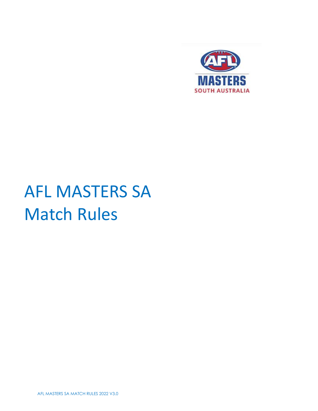

# AFL MASTERS SA Match Rules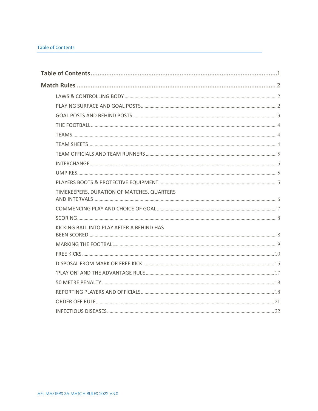# <span id="page-1-0"></span>**Table of Contents**

| TIMEKEEPERS, DURATION OF MATCHES, QUARTERS |  |
|--------------------------------------------|--|
|                                            |  |
|                                            |  |
| KICKING BALL INTO PLAY AFTER A BEHIND HAS  |  |
|                                            |  |
|                                            |  |
|                                            |  |
|                                            |  |
|                                            |  |
|                                            |  |
|                                            |  |
|                                            |  |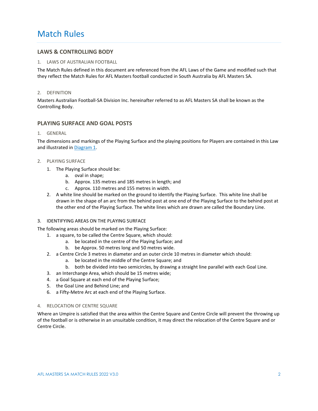# <span id="page-2-0"></span>Match Rules

# <span id="page-2-1"></span>**LAWS & CONTROLLING BODY**

#### 1. LAWS OF AUSTRALIAN FOOTBALL

The Match Rules defined in this document are referenced from the AFL Laws of the Game and modified such that they reflect the Match Rules for AFL Masters football conducted in South Australia by AFL Masters SA.

#### 2. DEFINITION

Masters Australian Football-SA Division Inc. hereinafter referred to as AFL Masters SA shall be known as the Controlling Body.

# <span id="page-2-2"></span>**PLAYING SURFACE AND GOAL POSTS**

#### 1. GENERAL

The dimensions and markings of the Playing Surface and the playing positions for Players are contained in this Law and illustrated in [Diagram 1.](#page-3-1)

#### 2. PLAYING SURFACE

- 1. The Playing Surface should be:
	- a. oval in shape;
	- b. Approx. 135 metres and 185 metres in length; and
	- c. Approx. 110 metres and 155 metres in width.
- 2. A white line should be marked on the ground to identify the Playing Surface. This white line shall be drawn in the shape of an arc from the behind post at one end of the Playing Surface to the behind post at the other end of the Playing Surface. The white lines which are drawn are called the Boundary Line.

#### 3. IDENTIFYING AREAS ON THE PLAYING SURFACE

The following areas should be marked on the Playing Surface:

- 1. a square, to be called the Centre Square, which should:
	- a. be located in the centre of the Playing Surface; and
	- b. be Approx. 50 metres long and 50 metres wide.
- 2. a Centre Circle 3 metres in diameter and an outer circle 10 metres in diameter which should:
	- a. be located in the middle of the Centre Square; and
	- b. both be divided into two semicircles, by drawing a straight line parallel with each Goal Line.
- 3. an Interchange Area, which should be 15 metres wide;
- 4. a Goal Square at each end of the Playing Surface;
- 5. the Goal Line and Behind Line; and
- 6. a Fifty-Metre Arc at each end of the Playing Surface.

#### 4. RELOCATION OF CENTRE SQUARE

Where an Umpire is satisfied that the area within the Centre Square and Centre Circle will prevent the throwing up of the football or is otherwise in an unsuitable condition, it may direct the relocation of the Centre Square and or Centre Circle.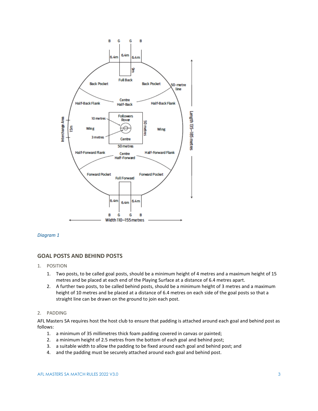

#### <span id="page-3-1"></span>*Diagram 1*

# <span id="page-3-0"></span>**GOAL POSTS AND BEHIND POSTS**

- 1. POSITION
	- 1. Two posts, to be called goal posts, should be a minimum height of 4 metres and a maximum height of 15 metres and be placed at each end of the Playing Surface at a distance of 6.4 metres apart.
	- 2. A further two posts, to be called behind posts, should be a minimum height of 3 metres and a maximum height of 10 metres and be placed at a distance of 6.4 metres on each side of the goal posts so that a straight line can be drawn on the ground to join each post.

# 2. PADDING

AFL Masters SA requires host the host club to ensure that padding is attached around each goal and behind post as follows:

- 1. a minimum of 35 millimetres thick foam padding covered in canvas or painted;
- 2. a minimum height of 2.5 metres from the bottom of each goal and behind post;
- 3. a suitable width to allow the padding to be fixed around each goal and behind post; and
- 4. and the padding must be securely attached around each goal and behind post.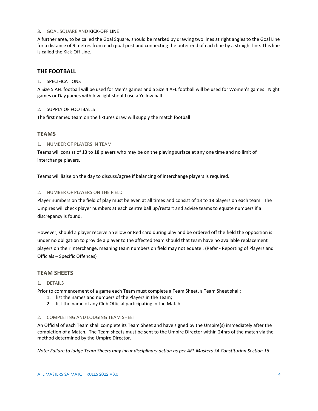#### 3. GOAL SQUARE AND KICK-OFF LINE

A further area, to be called the Goal Square, should be marked by drawing two lines at right angles to the Goal Line for a distance of 9 metres from each goal post and connecting the outer end of each line by a straight line. This line is called the Kick-Off Line.

# <span id="page-4-0"></span>**THE FOOTBALL**

# 1. SPECIFICATIONS

A Size 5 AFL football will be used for Men's games and a Size 4 AFL football will be used for Women's games. Night games or Day games with low light should use a Yellow ball

#### 2. SUPPLY OF FOOTBALLS

The first named team on the fixtures draw will supply the match football

# <span id="page-4-1"></span>**TEAMS**

#### 1. NUMBER OF PLAYERS IN TEAM

Teams will consist of 13 to 18 players who may be on the playing surface at any one time and no limit of interchange players.

Teams will liaise on the day to discuss/agree if balancing of interchange players is required.

# 2. NUMBER OF PLAYERS ON THE FIELD

Player numbers on the field of play must be even at all times and consist of 13 to 18 players on each team. The Umpires will check player numbers at each centre ball up/restart and advise teams to equate numbers if a discrepancy is found.

However, should a player receive a Yellow or Red card during play and be ordered off the field the opposition is under no obligation to provide a player to the affected team should that team have no available replacement players on their interchange, meaning team numbers on field may not equate . (Refer - Reporting of Players and Officials – Specific Offences)

# <span id="page-4-2"></span>**TEAM SHEETS**

#### 1. DETAILS

Prior to commencement of a game each Team must complete a Team Sheet, a Team Sheet shall:

- 1. list the names and numbers of the Players in the Team;
- 2. list the name of any Club Official participating in the Match.

#### 2. COMPLETING AND LODGING TEAM SHEET

An Official of each Team shall complete its Team Sheet and have signed by the Umpire(s) immediately after the completion of a Match. The Team sheets must be sent to the Umpire Director within 24hrs of the match via the method determined by the Umpire Director.

*Note: Failure to lodge Team Sheets may incur disciplinary action as per AFL Masters SA Constitution Section 16*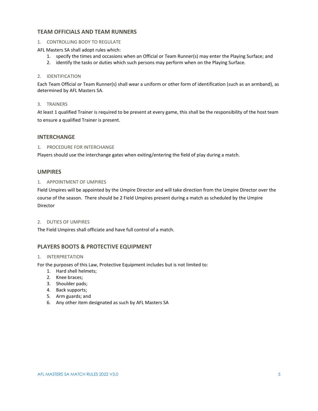# <span id="page-5-0"></span>**TEAM OFFICIALS AND TEAM RUNNERS**

# 1. CONTROLLING BODY TO REGULATE

#### AFL Masters SA shall adopt rules which:

- 1. specify the times and occasions when an Official or Team Runner(s) may enter the Playing Surface; and
- 2. identify the tasks or duties which such persons may perform when on the Playing Surface.

# 2. IDENTIFICATION

Each Team Official or Team Runner(s) shall wear a uniform or other form of identification (such as an armband), as determined by AFL Masters SA.

#### 3. TRAINERS

At least 1 qualified Trainer is required to be present at every game, this shall be the responsibility of the host team to ensure a qualified Trainer is present.

# <span id="page-5-1"></span>**INTERCHANGE**

# 1. PROCEDURE FOR INTERCHANGE

Players should use the interchange gates when exiting/entering the field of play during a match.

# <span id="page-5-2"></span>**UMPIRES**

# 1. APPOINTMENT OF UMPIRES

Field Umpires will be appointed by the Umpire Director and will take direction from the Umpire Director over the course of the season. There should be 2 Field Umpires present during a match as scheduled by the Umpire Director

#### 2. DUTIES OF UMPIRES

The Field Umpires shall officiate and have full control of a match.

# <span id="page-5-3"></span>**PLAYERS BOOTS & PROTECTIVE EQUIPMENT**

#### 1. INTERPRETATION

For the purposes of this Law, Protective Equipment includes but is not limited to:

- 1. Hard shell helmets;
- 2. Knee braces;
- 3. Shoulder pads;
- 4. Back supports;
- 5. Arm guards; and
- 6. Any other item designated as such by AFL Masters SA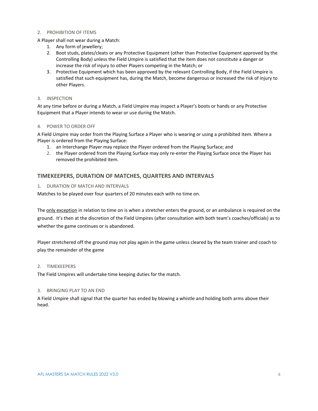#### 2. PROHIBITION OF ITEMS

A Player shall not wear during a Match:

- 1. Any form of jewellery;
- 2. Boot studs, plates/cleats or any Protective Equipment (other than Protective Equipment approved by the Controlling Body) unless the Field Umpire is satisfied that the item does not constitute a danger or increase the risk of injury to other Players competing in the Match; or
- 3. Protective Equipment which has been approved by the relevant Controlling Body, if the Field Umpire is satisfied that such equipment has, during the Match, become dangerous or increased the risk of injury to other Players.

# 3. INSPECTION

At any time before or during a Match, a Field Umpire may inspect a Player's boots or hands or any Protective Equipment that a Player intends to wear or use during the Match.

#### 4. POWER TO ORDER OFF

A Field Umpire may order from the Playing Surface a Player who is wearing or using a prohibited item. Where a Player is ordered from the Playing Surface:

- 1. an Interchange Player may replace the Player ordered from the Playing Surface; and
- 2. the Player ordered from the Playing Surface may only re-enter the Playing Surface once the Player has removed the prohibited item.

# <span id="page-6-0"></span>**TIMEKEEPERS, DURATION OF MATCHES, QUARTERS AND INTERVALS**

#### 1. DURATION OF MATCH AND INTERVALS

Matches to be played over four quarters of 20 minutes each with no time on.

The only exception in relation to time on is when a stretcher enters the ground, or an ambulance is required on the ground. It's then at the discretion of the Field Umpires (after consultation with both team's coaches/officials) as to whether the game continues or is abandoned.

Player stretchered off the ground may not play again in the game unless cleared by the team trainer and coach to play the remainder of the game

# 2. TIMEKEEPERS

The Field Umpires will undertake time keeping duties for the match.

# 3. BRINGING PLAY TO AN END

A Field Umpire shall signal that the quarter has ended by blowing a whistle and holding both arms above their head.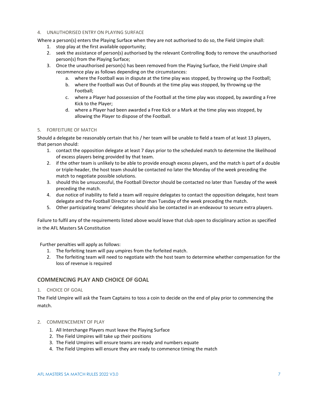#### 4. UNAUTHORISED ENTRY ON PLAYING SURFACE

Where a person(s) enters the Playing Surface when they are not authorised to do so, the Field Umpire shall:

- 1. stop play at the first available opportunity;
- 2. seek the assistance of person(s) authorised by the relevant Controlling Body to remove the unauthorised person(s) from the Playing Surface;
- 3. Once the unauthorised person(s) has been removed from the Playing Surface, the Field Umpire shall recommence play as follows depending on the circumstances:
	- a. where the Football was in dispute at the time play was stopped, by throwing up the Football;
	- b. where the Football was Out of Bounds at the time play was stopped, by throwing up the Football;
	- c. where a Player had possession of the Football at the time play was stopped, by awarding a Free Kick to the Player;
	- d. where a Player had been awarded a Free Kick or a Mark at the time play was stopped, by allowing the Player to dispose of the Football.

# 5. FORFEITURE OF MATCH

Should a delegate be reasonably certain that his / her team will be unable to field a team of at least 13 players, that person should:

- 1. contact the opposition delegate at least 7 days prior to the scheduled match to determine the likelihood of excess players being provided by that team.
- 2. if the other team is unlikely to be able to provide enough excess players, and the match is part of a double or triple-header, the host team should be contacted no later the Monday of the week preceding the match to negotiate possible solutions.
- 3. should this be unsuccessful, the Football Director should be contacted no later than Tuesday of the week preceding the match.
- 4. due notice of inability to field a team will require delegates to contact the opposition delegate, host team delegate and the Football Director no later than Tuesday of the week preceding the match.
- 5. Other participating teams' delegates should also be contacted in an endeavour to secure extra players.

Failure to fulfil any of the requirements listed above would leave that club open to disciplinary action as specified in the AFL Masters SA Constitution

Further penalties will apply as follows:

- 1. The forfeiting team will pay umpires from the forfeited match.
- 2. The forfeiting team will need to negotiate with the host team to determine whether compensation for the loss of revenue is required

# <span id="page-7-0"></span>**COMMENCING PLAY AND CHOICE OF GOAL**

1. CHOICE OF GOAL

The Field Umpire will ask the Team Captains to toss a coin to decide on the end of play prior to commencing the match.

- 2. COMMENCEMENT OF PLAY
	- 1. All Interchange Players must leave the Playing Surface
	- 2. The Field Umpires will take up their positions
	- 3. The Field Umpires will ensure teams are ready and numbers equate
	- 4. The Field Umpires will ensure they are ready to commence timing the match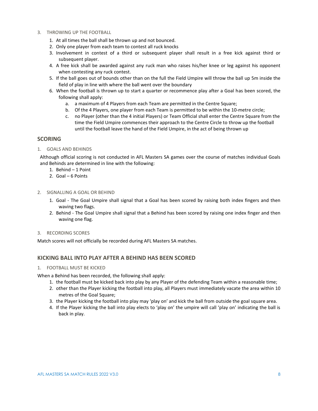- 3. THROWING UP THE FOOTBALL
	- 1. At all times the ball shall be thrown up and not bounced.
	- 2. Only one player from each team to contest all ruck knocks
	- 3. Involvement in contest of a third or subsequent player shall result in a free kick against third or subsequent player.
	- 4. A free kick shall be awarded against any ruck man who raises his/her knee or leg against his opponent when contesting any ruck contest.
	- 5. If the ball goes out of bounds other than on the full the Field Umpire will throw the ball up 5m inside the field of play in line with where the ball went over the boundary
	- 6. When the football is thrown up to start a quarter or recommence play after a Goal has been scored, the following shall apply:
		- a. a maximum of 4 Players from each Team are permitted in the Centre Square;
		- b. Of the 4 Players, one player from each Team is permitted to be within the 10-metre circle;
		- c. no Player (other than the 4 initial Players) or Team Official shall enter the Centre Square from the time the Field Umpire commences their approach to the Centre Circle to throw up the football until the football leave the hand of the Field Umpire, in the act of being thrown up

# <span id="page-8-0"></span>**SCORING**

1. GOALS AND BEHINDS

Although official scoring is not conducted in AFL Masters SA games over the course of matches individual Goals and Behinds are determined in line with the following:

- 1. Behind 1 Point
- 2. Goal 6 Points
- 2. SIGNALLING A GOAL OR BEHIND
	- 1. Goal The Goal Umpire shall signal that a Goal has been scored by raising both index fingers and then waving two flags.
	- 2. Behind The Goal Umpire shall signal that a Behind has been scored by raising one index finger and then waving one flag.
- 3. RECORDING SCORES

Match scores will not officially be recorded during AFL Masters SA matches.

# <span id="page-8-1"></span>**KICKING BALL INTO PLAY AFTER A BEHIND HAS BEEN SCORED**

#### 1. FOOTBALL MUST BE KICKED

When a Behind has been recorded, the following shall apply:

- 1. the football must be kicked back into play by any Player of the defending Team within a reasonable time;
- 2. other than the Player kicking the football into play, all Players must immediately vacate the area within 10 metres of the Goal Square;
- 3. the Player kicking the football into play may 'play on' and kick the ball from outside the goal square area.
- 4. If the Player kicking the ball into play elects to 'play on' the umpire will call 'play on' indicating the ball is back in play.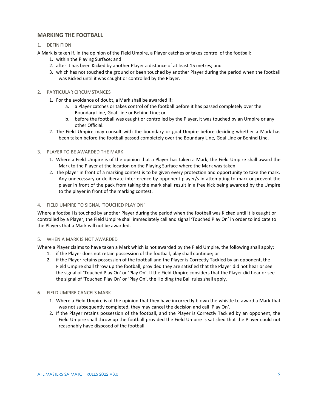# <span id="page-9-0"></span>**MARKING THE FOOTBALL**

# 1. DEFINITION

A Mark is taken if, in the opinion of the Field Umpire, a Player catches or takes control of the football:

- 1. within the Playing Surface; and
- 2. after it has been Kicked by another Player a distance of at least 15 metres; and
- 3. which has not touched the ground or been touched by another Player during the period when the football was Kicked until it was caught or controlled by the Player.

#### 2. PARTICULAR CIRCUMSTANCES

- 1. For the avoidance of doubt, a Mark shall be awarded if:
	- a. a Player catches or takes control of the football before it has passed completely over the Boundary Line, Goal Line or Behind Line; or
	- b. before the football was caught or controlled by the Player, it was touched by an Umpire or any other Official.
- 2. The Field Umpire may consult with the boundary or goal Umpire before deciding whether a Mark has been taken before the football passed completely over the Boundary Line, Goal Line or Behind Line.

#### 3. PLAYER TO BE AWARDED THE MARK

- 1. Where a Field Umpire is of the opinion that a Player has taken a Mark, the Field Umpire shall award the Mark to the Player at the location on the Playing Surface where the Mark was taken.
- 2. The player in front of a marking contest is to be given every protection and opportunity to take the mark. Any unnecessary or deliberate interference by opponent player/s in attempting to mark or prevent the player in front of the pack from taking the mark shall result in a free kick being awarded by the Umpire to the player in front of the marking contest.

#### 4. FIELD UMPIRE TO SIGNAL 'TOUCHED PLAY ON'

Where a football is touched by another Player during the period when the football was Kicked until it is caught or controlled by a Player, the Field Umpire shall immediately call and signal 'Touched Play On' in order to indicate to the Players that a Mark will not be awarded.

#### 5. WHEN A MARK IS NOT AWARDED

Where a Player claims to have taken a Mark which is not awarded by the Field Umpire, the following shall apply:

- 1. if the Player does not retain possession of the football, play shall continue; or
- 2. if the Player retains possession of the football and the Player is Correctly Tackled by an opponent, the Field Umpire shall throw up the football, provided they are satisfied that the Player did not hear or see the signal of 'Touched Play On' or 'Play On'. If the Field Umpire considers that the Player did hear or see the signal of 'Touched Play On' or 'Play On', the Holding the Ball rules shall apply.

# 6. FIELD UMPIRE CANCELS MARK

- 1. Where a Field Umpire is of the opinion that they have incorrectly blown the whistle to award a Mark that was not subsequently completed, they may cancel the decision and call 'Play On'.
- 2. If the Player retains possession of the football, and the Player is Correctly Tackled by an opponent, the Field Umpire shall throw up the football provided the Field Umpire is satisfied that the Player could not reasonably have disposed of the football.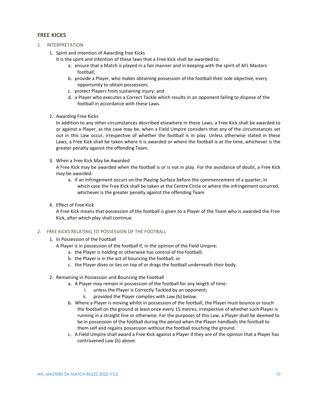# <span id="page-10-0"></span>**FREE KICKS**

- 1. INTERPRETATION
	- 1. Spirit and Intention of Awarding free Kicks
		- It is the spirit and intention of these laws that a Free Kick shall be awarded to:
			- a. ensure that a Match is played in a fair manner and in keeping with the spirit of AFL Masters football;
			- b. provide a Player, who makes obtaining possession of the football their sole objective, every opportunity to obtain possession;
			- c. protect Players from sustaining injury; and
			- d. a Player who executes a Correct Tackle which results in an opponent failing to dispose of the football in accordance with these Laws.
	- 2. Awarding Free Kicks

In addition to any other circumstances described elsewhere in these Laws, a Free Kick shall be awarded to or against a Player, as the case may be, when a Field Umpire considers that any of the circumstances set out in this Law occur, irrespective of whether the football is in play. Unless otherwise stated in these Laws, a Free Kick shall be taken where it is awarded or where the football is at the time, whichever is the greater penalty against the offending Team.

3. When a Free Kick May be Awarded

A Free Kick may be awarded when the football is or is not in play. For the avoidance of doubt, a Free Kick may be awarded:

- a. if an infringement occurs on the Playing Surface before the commencement of a quarter, in which case the Free Kick shall be taken at the Centre Circle or where the infringement occurred, whichever is the greater penalty against the offending Team
- 4. Effect of Free Kick

A Free Kick means that possession of the football is given to a Player of the Team who is awarded the Free Kick, after which play shall continue.

- 2. FREE KICKS RELATING TO POSSESSION OF THE FOOTBALL
	- 1. In Possession of the Football
		- A Player is in possession of the football if, in the opinion of the Field Umpire:
			- a. the Player is holding or otherwise has control of the football;
			- b. the Player is in the act of bouncing the football; or
			- c. the Player dives or lies on top of or drags the football underneath their body.
	- 2. Remaining in Possession and Bouncing the Football
		- a. A Player may remain in possession of the football for any length of time:
			- i. unless the Player is Correctly Tackled by an opponent;
			- ii. provided the Player complies with Law (b) below.
		- b. Where a Player is moving whilst in possession of the football, the Player must bounce or touch the football on the ground at least once every 15 metres, irrespective of whether such Player is running in a straight line or otherwise. For the purposes of this Law, a Player shall be deemed to be in possession of the football during the period when the Player handballs the football to them self and regains possession without the football touching the ground.
		- c. A Field Umpire shall award a Free Kick against a Player if they are of the opinion that a Player has contravened Law (b) above.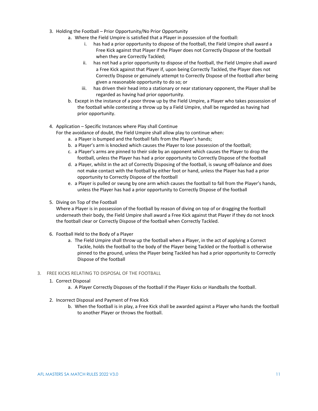- 3. Holding the Football Prior Opportunity/No Prior Opportunity
	- a. Where the Field Umpire is satisfied that a Player in possession of the football:
		- i. has had a prior opportunity to dispose of the football, the Field Umpire shall award a Free Kick against that Player if the Player does not Correctly Dispose of the football when they are Correctly Tackled;
		- ii. has not had a prior opportunity to dispose of the football, the Field Umpire shall award a Free Kick against that Player if, upon being Correctly Tackled, the Player does not Correctly Dispose or genuinely attempt to Correctly Dispose of the football after being given a reasonable opportunity to do so; or
		- iii. has driven their head into a stationary or near stationary opponent, the Player shall be regarded as having had prior opportunity.
	- b. Except in the instance of a poor throw up by the Field Umpire, a Player who takes possession of the football while contesting a throw up by a Field Umpire, shall be regarded as having had prior opportunity.
- 4. Application Specific Instances where Play shall Continue

For the avoidance of doubt, the Field Umpire shall allow play to continue when:

- a. a Player is bumped and the football falls from the Player's hands;
- b. a Player's arm is knocked which causes the Player to lose possession of the football;
- c. a Player's arms are pinned to their side by an opponent which causes the Player to drop the football, unless the Player has had a prior opportunity to Correctly Dispose of the football
- d. a Player, whilst in the act of Correctly Disposing of the football, is swung off-balance and does not make contact with the football by either foot or hand, unless the Player has had a prior opportunity to Correctly Dispose of the football
- e. a Player is pulled or swung by one arm which causes the football to fall from the Player's hands, unless the Player has had a prior opportunity to Correctly Dispose of the football
- 5. Diving on Top of the Football

Where a Player is in possession of the football by reason of diving on top of or dragging the football underneath their body, the Field Umpire shall award a Free Kick against that Player if they do not knock the football clear or Correctly Dispose of the football when Correctly Tackled.

- 6. Football Held to the Body of a Player
	- a. The Field Umpire shall throw up the football when a Player, in the act of applying a Correct Tackle, holds the football to the body of the Player being Tackled or the football is otherwise pinned to the ground, unless the Player being Tackled has had a prior opportunity to Correctly Dispose of the football
- 3. FREE KICKS RELATING TO DISPOSAL OF THE FOOTBALL
	- 1. Correct Disposal
		- a. A Player Correctly Disposes of the football if the Player Kicks or Handballs the football.
	- 2. Incorrect Disposal and Payment of Free Kick
		- b. When the football is in play, a Free Kick shall be awarded against a Player who hands the football to another Player or throws the football.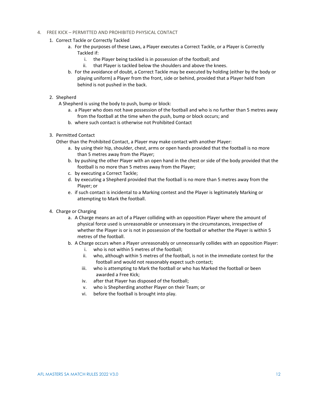# 4. FREE KICK – PERMITTED AND PROHIBITED PHYSICAL CONTACT

- 1. Correct Tackle or Correctly Tackled
	- a. For the purposes of these Laws, a Player executes a Correct Tackle, or a Player is Correctly Tackled if:
		- i. the Player being tackled is in possession of the football; and
		- ii. that Player is tackled below the shoulders and above the knees.
	- b. For the avoidance of doubt, a Correct Tackle may be executed by holding (either by the body or playing uniform) a Player from the front, side or behind, provided that a Player held from behind is not pushed in the back.

#### 2. Shepherd

A Shepherd is using the body to push, bump or block:

- a. a Player who does not have possession of the football and who is no further than 5 metres away from the football at the time when the push, bump or block occurs; and
- b. where such contact is otherwise not Prohibited Contact

#### 3. Permitted Contact

Other than the Prohibited Contact, a Player may make contact with another Player:

- a. by using their hip, shoulder, chest, arms or open hands provided that the football is no more than 5 metres away from the Player;
- b. by pushing the other Player with an open hand in the chest or side of the body provided that the football is no more than 5 metres away from the Player;
- c. by executing a Correct Tackle;
- d. by executing a Shepherd provided that the football is no more than 5 metres away from the Player; or
- e. if such contact is incidental to a Marking contest and the Player is legitimately Marking or attempting to Mark the football.
- 4. Charge or Charging
	- a. A Charge means an act of a Player colliding with an opposition Player where the amount of physical force used is unreasonable or unnecessary in the circumstances, irrespective of whether the Player is or is not in possession of the football or whether the Player is within 5 metres of the football.
	- b. A Charge occurs when a Player unreasonably or unnecessarily collides with an opposition Player:
		- i. who is not within 5 metres of the football;
		- ii. who, although within 5 metres of the football, is not in the immediate contest for the football and would not reasonably expect such contact;
		- iii. who is attempting to Mark the football or who has Marked the football or been awarded a Free Kick;
		- iv. after that Player has disposed of the football;
		- v. who is Shepherding another Player on their Team; or
		- vi. before the football is brought into play.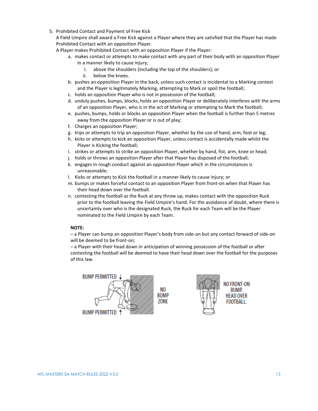5. Prohibited Contact and Payment of Free Kick

A Field Umpire shall award a Free Kick against a Player where they are satisfied that the Player has made Prohibited Contact with an opposition Player.

A Player makes Prohibited Contact with an opposition Player if the Player:

- a. makes contact or attempts to make contact with any part of their body with an opposition Player in a manner likely to cause injury;
	- i. above the shoulders (including the top of the shoulders); or
	- ii. below the knees.
- b. pushes an opposition Player in the back, unless such contact is incidental to a Marking contest and the Player is legitimately Marking, attempting to Mark or spoil the football;
- c. holds an opposition Player who is not in possession of the football;
- d. unduly pushes, bumps, blocks, holds an opposition Player or deliberately interferes with the arms of an opposition Player, who is in the act of Marking or attempting to Mark the football;
- e. pushes, bumps, holds or blocks an opposition Player when the football is further than 5 metres away from the opposition Player or is out of play;
- f. Charges an opposition Player;
- g. trips or attempts to trip an opposition Player, whether by the use of hand, arm, foot or leg;
- h. kicks or attempts to kick an opposition Player, unless contact is accidentally made whilst the Player is Kicking the football;
- i. strikes or attempts to strike an opposition Player, whether by hand, fist, arm, knee or head;
- j. holds or throws an opposition Player after that Player has disposed of the football;
- k. engages in rough conduct against an opposition Player which in the circumstances is unreasonable;
- l. Kicks or attempts to Kick the football in a manner likely to cause injury; or
- m. bumps or makes forceful contact to an opposition Player from front-on when that Player has their head down over the football.
- n. contesting the football as the Ruck at any throw up, makes contact with the opposition Ruck prior to the football leaving the Field Umpire's hand. For the avoidance of doubt, where there is uncertainty over who is the designated Ruck, the Ruck for each Team will be the Player nominated to the Field Umpire by each Team.

# **NOTE:**

– a Player can bump an opposition Player's body from side-on but any contact forward of side-on will be deemed to be front-on;

– a Player with their head down in anticipation of winning possession of the football or after contesting the football will be deemed to have their head down over the football for the purposes of this law.

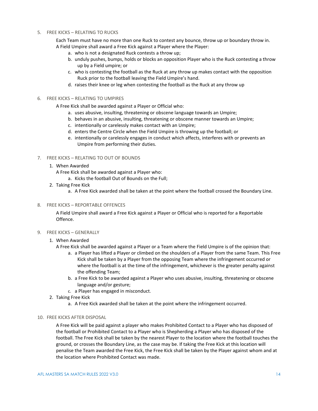#### 5. FREE KICKS – RELATING TO RUCKS

Each Team must have no more than one Ruck to contest any bounce, throw up or boundary throw in. A Field Umpire shall award a Free Kick against a Player where the Player:

- a. who is not a designated Ruck contests a throw up;
- b. unduly pushes, bumps, holds or blocks an opposition Player who is the Ruck contesting a throw up by a Field umpire; or
- c. who is contesting the football as the Ruck at any throw up makes contact with the opposition Ruck prior to the football leaving the Field Umpire's hand.
- d. raises their knee or leg when contesting the football as the Ruck at any throw up

#### 6. FREE KICKS – RELATING TO UMPIRES

A Free Kick shall be awarded against a Player or Official who:

- a. uses abusive, insulting, threatening or obscene language towards an Umpire;
- b. behaves in an abusive, insulting, threatening or obscene manner towards an Umpire;
- c. intentionally or carelessly makes contact with an Umpire;
- d. enters the Centre Circle when the Field Umpire is throwing up the football; or
- e. intentionally or carelessly engages in conduct which affects, interferes with or prevents an Umpire from performing their duties.

#### 7. FREE KICKS – RELATING TO OUT OF BOUNDS

- 1. When Awarded
	- A Free Kick shall be awarded against a Player who:
		- a. Kicks the football Out of Bounds on the Full;
- 2. Taking Free Kick
	- a. A Free Kick awarded shall be taken at the point where the football crossed the Boundary Line.
- 8. FREE KICKS REPORTABLE OFFENCES

A Field Umpire shall award a Free Kick against a Player or Official who is reported for a Reportable Offence.

9. FREE KICKS – GENERALLY

#### 1. When Awarded

- A Free Kick shall be awarded against a Player or a Team where the Field Umpire is of the opinion that:
	- a. a Player has lifted a Player or climbed on the shoulders of a Player from the same Team. This Free Kick shall be taken by a Player from the opposing Team where the infringement occurred or where the football is at the time of the infringement, whichever is the greater penalty against the offending Team;
	- b. a Free Kick to be awarded against a Player who uses abusive, insulting, threatening or obscene language and/or gesture;
	- c. a Player has engaged in misconduct.
- 2. Taking Free Kick
	- a. A Free Kick awarded shall be taken at the point where the infringement occurred.

#### 10. FREE KICKS AFTER DISPOSAL

A Free Kick will be paid against a player who makes Prohibited Contact to a Player who has disposed of the football or Prohibited Contact to a Player who is Shepherding a Player who has disposed of the football. The Free Kick shall be taken by the nearest Player to the location where the football touches the ground, or crosses the Boundary Line, as the case may be. If taking the Free Kick at this location will penalise the Team awarded the Free Kick, the Free Kick shall be taken by the Player against whom and at the location where Prohibited Contact was made.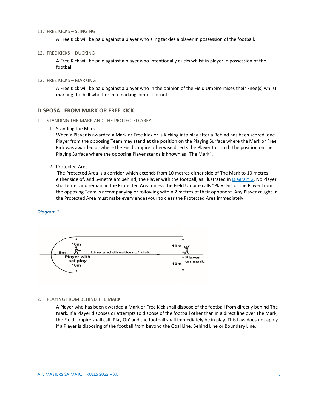#### 11. FREE KICKS – SLINGING

A Free Kick will be paid against a player who sling tackles a player in possession of the football.

#### 12. FREE KICKS – DUCKING

A Free Kick will be paid against a player who intentionally ducks whilst in player in possession of the football.

#### 13. FREE KICKS – MARKING

A Free Kick will be paid against a player who in the opinion of the Field Umpire raises their knee(s) whilst marking the ball whether in a marking contest or not.

#### <span id="page-15-0"></span>**DISPOSAL FROM MARK OR FREE KICK**

- 1. STANDING THE MARK AND THE PROTECTED AREA
	- 1. Standing the Mark.

When a Player is awarded a Mark or Free Kick or is Kicking into play after a Behind has been scored, one Player from the opposing Team may stand at the position on the Playing Surface where the Mark or Free Kick was awarded or where the Field Umpire otherwise directs the Player to stand. The position on the Playing Surface where the opposing Player stands is known as "The Mark".

2. Protected Area

The Protected Area is a corridor which extends from 10 metres either side of The Mark to 10 metres either side of, and 5-metre arc behind, the Player with the football, as illustrated in [Diagram 2.](#page-15-1) No Player shall enter and remain in the Protected Area unless the Field Umpire calls "Play On" or the Player from the opposing Team is accompanying or following within 2 metres of their opponent. Any Player caught in the Protected Area must make every endeavour to clear the Protected Area immediately.

#### <span id="page-15-1"></span>*Diagram 2*



#### 2. PLAYING FROM BEHIND THE MARK

A Player who has been awarded a Mark or Free Kick shall dispose of the football from directly behind The Mark. If a Player disposes or attempts to dispose of the football other than in a direct line over The Mark, the Field Umpire shall call 'Play On' and the football shall immediately be in play. This Law does not apply if a Player is disposing of the football from beyond the Goal Line, Behind Line or Boundary Line.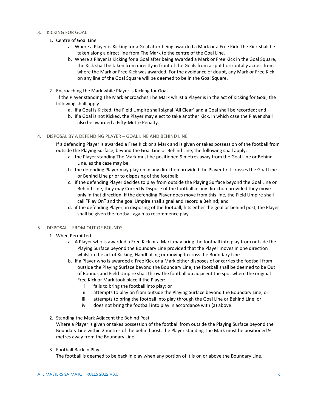- 3. KICKING FOR GOAL
	- 1. Centre of Goal Line
		- a. Where a Player is Kicking for a Goal after being awarded a Mark or a Free Kick, the Kick shall be taken along a direct line from The Mark to the centre of the Goal Line.
		- b. Where a Player is Kicking for a Goal after being awarded a Mark or Free Kick in the Goal Square, the Kick shall be taken from directly in front of the Goals from a spot horizontally across from where the Mark or Free Kick was awarded. For the avoidance of doubt, any Mark or Free Kick on any line of the Goal Square will be deemed to be in the Goal Square.
	- 2. Encroaching the Mark while Player is Kicking for Goal

If the Player standing The Mark encroaches The Mark whilst a Player is in the act of Kicking for Goal, the following shall apply

- a. if a Goal is Kicked, the Field Umpire shall signal 'All Clear' and a Goal shall be recorded; and
- b. if a Goal is not Kicked, the Player may elect to take another Kick, in which case the Player shall also be awarded a Fifty-Metre Penalty.

#### 4. DISPOSAL BY A DEFENDING PLAYER – GOAL LINE AND BEHIND LINE

If a defending Player is awarded a Free Kick or a Mark and is given or takes possession of the football from outside the Playing Surface, beyond the Goal Line or Behind Line, the following shall apply:

- a. the Player standing The Mark must be positioned 9 metres away from the Goal Line or Behind Line, as the case may be;
- b. the defending Player may play on in any direction provided the Player first crosses the Goal Line or Behind Line prior to disposing of the football;
- c. if the defending Player decides to play from outside the Playing Surface beyond the Goal Line or Behind Line, they may Correctly Dispose of the football in any direction provided they move only in that direction. If the defending Player does move from this line, the Field Umpire shall call "Play On" and the goal Umpire shall signal and record a Behind; and
- d. if the defending Player, in disposing of the football, hits either the goal or behind post, the Player shall be given the football again to recommence play.

#### 5. DISPOSAL – FROM OUT OF BOUNDS

- 1. When Permitted
	- a. A Player who is awarded a Free Kick or a Mark may bring the football into play from outside the Playing Surface beyond the Boundary Line provided that the Player moves in one direction whilst in the act of Kicking, Handballing or moving to cross the Boundary Line.
	- b. If a Player who is awarded a Free Kick or a Mark either disposes of or carries the football from outside the Playing Surface beyond the Boundary Line, the football shall be deemed to be Out of Bounds and Field Umpire shall throw the football up adjacent the spot where the original Free Kick or Mark took place if the Player:
		- i. fails to bring the football into play; or
		- ii. attempts to play on from outside the Playing Surface beyond the Boundary Line; or
		- iii. attempts to bring the football into play through the Goal Line or Behind Line; or
		- iv. does not bring the football into play in accordance with (a) above

#### 2. Standing the Mark Adjacent the Behind Post

Where a Player is given or takes possession of the football from outside the Playing Surface beyond the Boundary Line within 2 metres of the behind post, the Player standing The Mark must be positioned 9 metres away from the Boundary Line.

3. Football Back in Play

The football is deemed to be back in play when any portion of it is on or above the Boundary Line.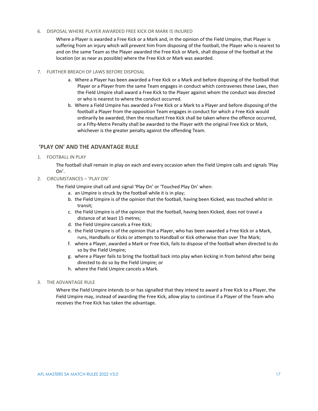#### 6. DISPOSAL WHERE PLAYER AWARDED FREE KICK OR MARK IS INJURED

Where a Player is awarded a Free Kick or a Mark and, in the opinion of the Field Umpire, that Player is suffering from an injury which will prevent him from disposing of the football, the Player who is nearest to and on the same Team as the Player awarded the Free Kick or Mark, shall dispose of the football at the location (or as near as possible) where the Free Kick or Mark was awarded.

#### 7. FURTHER BREACH OF LAWS BEFORE DISPOSAL

- a. Where a Player has been awarded a Free Kick or a Mark and before disposing of the football that Player or a Player from the same Team engages in conduct which contravenes these Laws, then the Field Umpire shall award a Free Kick to the Player against whom the conduct was directed or who is nearest to where the conduct occurred.
- b. Where a Field Umpire has awarded a Free Kick or a Mark to a Player and before disposing of the football a Player from the opposition Team engages in conduct for which a Free Kick would ordinarily be awarded, then the resultant Free Kick shall be taken where the offence occurred, or a Fifty-Metre Penalty shall be awarded to the Player with the original Free Kick or Mark, whichever is the greater penalty against the offending Team.

# <span id="page-17-0"></span>**'PLAY ON' AND THE ADVANTAGE RULE**

1. FOOTBALL IN PLAY

The football shall remain in play on each and every occasion when the Field Umpire calls and signals 'Play On'.

- 2. CIRCUMSTANCES 'PLAY ON'
	- The Field Umpire shall call and signal 'Play On' or 'Touched Play On' when:
		- a. an Umpire is struck by the football while it is in play;
		- b. the Field Umpire is of the opinion that the football, having been Kicked, was touched whilst in transit;
		- c. the Field Umpire is of the opinion that the football, having been Kicked, does not travel a distance of at least 15 metres;
		- d. the Field Umpire cancels a Free Kick;
		- e. the Field Umpire is of the opinion that a Player, who has been awarded a Free Kick or a Mark, runs, Handballs or Kicks or attempts to Handball or Kick otherwise than over The Mark;
		- f. where a Player, awarded a Mark or Free Kick, fails to dispose of the football when directed to do so by the Field Umpire;
		- g. where a Player fails to bring the football back into play when kicking in from behind after being directed to do so by the Field Umpire; or
		- h. where the Field Umpire cancels a Mark.
- 3. THE ADVANTAGE RULE

Where the Field Umpire intends to or has signalled that they intend to award a Free Kick to a Player, the Field Umpire may, instead of awarding the Free Kick, allow play to continue if a Player of the Team who receives the Free Kick has taken the advantage.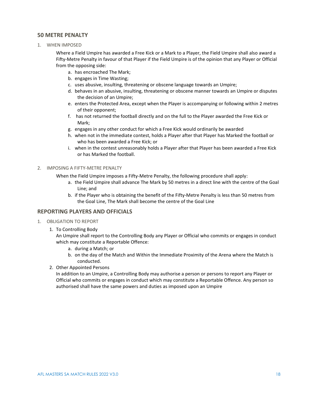# <span id="page-18-0"></span>**50 METRE PENALTY**

1. WHEN IMPOSED

Where a Field Umpire has awarded a Free Kick or a Mark to a Player, the Field Umpire shall also award a Fifty-Metre Penalty in favour of that Player if the Field Umpire is of the opinion that any Player or Official from the opposing side:

- a. has encroached The Mark;
- b. engages in Time Wasting;
- c. uses abusive, insulting, threatening or obscene language towards an Umpire;
- d. behaves in an abusive, insulting, threatening or obscene manner towards an Umpire or disputes the decision of an Umpire;
- e. enters the Protected Area, except when the Player is accompanying or following within 2 metres of their opponent;
- f. has not returned the football directly and on the full to the Player awarded the Free Kick or Mark;
- g. engages in any other conduct for which a Free Kick would ordinarily be awarded
- h. when not in the immediate contest, holds a Player after that Player has Marked the football or who has been awarded a Free Kick; or
- i. when in the contest unreasonably holds a Player after that Player has been awarded a Free Kick or has Marked the football.

#### 2. IMPOSING A FIFTY-METRE PENALTY

When the Field Umpire imposes a Fifty-Metre Penalty, the following procedure shall apply:

- a. the Field Umpire shall advance The Mark by 50 metres in a direct line with the centre of the Goal Line; and
- b. if the Player who is obtaining the benefit of the Fifty-Metre Penalty is less than 50 metres from the Goal Line, The Mark shall become the centre of the Goal Line

# <span id="page-18-1"></span>**REPORTING PLAYERS AND OFFICIALS**

- 1. OBLIGATION TO REPORT
	- 1. To Controlling Body

An Umpire shall report to the Controlling Body any Player or Official who commits or engages in conduct which may constitute a Reportable Offence:

- a. during a Match; or
- b. on the day of the Match and Within the Immediate Proximity of the Arena where the Match is conducted.
- 2. Other Appointed Persons

In addition to an Umpire, a Controlling Body may authorise a person or persons to report any Player or Official who commits or engages in conduct which may constitute a Reportable Offence. Any person so authorised shall have the same powers and duties as imposed upon an Umpire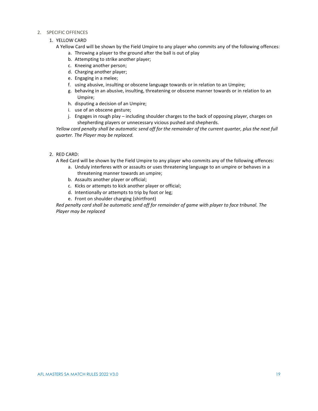#### 2. SPECIFIC OFFENCES

# 1. YELLOW CARD

A Yellow Card will be shown by the Field Umpire to any player who commits any of the following offences:

- a. Throwing a player to the ground after the ball is out of play
- b. Attempting to strike another player;
- c. Kneeing another person;
- d. Charging another player;
- e. Engaging in a melee;
- f. using abusive, insulting or obscene language towards or in relation to an Umpire;
- g. behaving in an abusive, insulting, threatening or obscene manner towards or in relation to an Umpire;
- h. disputing a decision of an Umpire;
- i. use of an obscene gesture;
- j. Engages in rough play including shoulder charges to the back of opposing player, charges on shepherding players or unnecessary vicious pushed and shepherds.

*Yellow card penalty shall be automatic send off for the remainder of the current quarter, plus the next full quarter. The Player may be replaced.*

2. RED CARD:

A Red Card will be shown by the Field Umpire to any player who commits any of the following offences:

- a. Unduly interferes with or assaults or uses threatening language to an umpire or behaves in a threatening manner towards an umpire;
- b. Assaults another player or official;
- c. Kicks or attempts to kick another player or official;
- d. Intentionally or attempts to trip by foot or leg;
- e. Front on shoulder charging (shirtfront)

*Red penalty card shall be automatic send off for remainder of game with player to face tribunal. The Player may be replaced*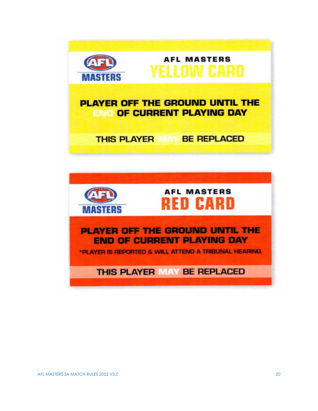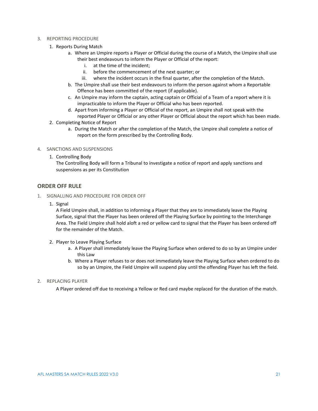#### 3. REPORTING PROCEDURE

- 1. Reports During Match
	- a. Where an Umpire reports a Player or Official during the course of a Match, the Umpire shall use their best endeavours to inform the Player or Official of the report:
		- i. at the time of the incident;
		- ii. before the commencement of the next quarter; or
		- iii. where the incident occurs in the final quarter, after the completion of the Match.
	- b. The Umpire shall use their best endeavours to inform the person against whom a Reportable Offence has been committed of the report (if applicable).
	- c. An Umpire may inform the captain, acting captain or Official of a Team of a report where it is impracticable to inform the Player or Official who has been reported.
	- d. Apart from informing a Player or Official of the report, an Umpire shall not speak with the reported Player or Official or any other Player or Official about the report which has been made.
- 2. Completing Notice of Report
	- a. During the Match or after the completion of the Match, the Umpire shall complete a notice of report on the form prescribed by the Controlling Body.
- 4. SANCTIONS AND SUSPENSIONS
	- 1. Controlling Body

The Controlling Body will form a Tribunal to investigate a notice of report and apply sanctions and suspensions as per its Constitution

# <span id="page-21-0"></span>**ORDER OFF RULE**

- 1. SIGNALLING AND PROCEDURE FOR ORDER OFF
	- 1. Signal

A Field Umpire shall, in addition to informing a Player that they are to immediately leave the Playing Surface, signal that the Player has been ordered off the Playing Surface by pointing to the Interchange Area. The Field Umpire shall hold aloft a red or yellow card to signal that the Player has been ordered off for the remainder of the Match.

- 2. Player to Leave Playing Surface
	- a. A Player shall immediately leave the Playing Surface when ordered to do so by an Umpire under this Law
	- b. Where a Player refuses to or does not immediately leave the Playing Surface when ordered to do so by an Umpire, the Field Umpire will suspend play until the offending Player has left the field.
- 2. REPLACING PLAYER

A Player ordered off due to receiving a Yellow or Red card maybe replaced for the duration of the match.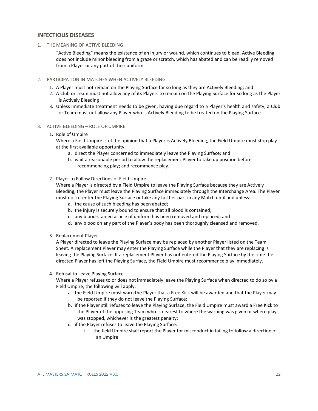# <span id="page-22-0"></span>**INFECTIOUS DISEASES**

#### 1. THE MEANING OF ACTIVE BLEEDING

"Active Bleeding" means the existence of an injury or wound, which continues to bleed. Active Bleeding does not include minor bleeding from a graze or scratch, which has abated and can be readily removed from a Player or any part of their uniform.

#### 2. PARTICIPATION IN MATCHES WHEN ACTIVELY BLEEDING

- 1. A Player must not remain on the Playing Surface for so long as they are Actively Bleeding; and
- 2. A Club or Team must not allow any of its Players to remain on the Playing Surface for so long as the Player is Actively Bleeding
- 3. Unless immediate treatment needs to be given, having due regard to a Player's health and safety, a Club or Team must not allow any Player who is Actively Bleeding to be treated on the Playing Surface.

#### 3. ACTIVE BLEEDING – ROLE OF UMPIRE

1. Role of Umpire

Where a Field Umpire is of the opinion that a Player is Actively Bleeding, the Field Umpire must stop play at the first available opportunity:

- a. direct the Player concerned to immediately leave the Playing Surface; and
- b. wait a reasonable period to allow the replacement Player to take up position before recommencing play; and recommence play.

#### 2. Player to Follow Directions of Field Umpire

Where a Player is directed by a Field Umpire to leave the Playing Surface because they are Actively Bleeding, the Player must leave the Playing Surface immediately through the Interchange Area. The Player must not re-enter the Playing Surface or take any further part in any Match until and unless:

- a. the cause of such bleeding has been abated;
- b. the injury is securely bound to ensure that all blood is contained;
- c. any blood-stained article of uniform has been removed and replaced; and
- d. any blood on any part of the Player's body has been thoroughly cleansed and removed.
- 3. Replacement Player

A Player directed to leave the Playing Surface may be replaced by another Player listed on the Team Sheet. A replacement Player may enter the Playing Surface while the Player that they are replacing is leaving the Playing Surface. If a replacement Player has not entered the Playing Surface by the time the directed Player has left the Playing Surface, the Field Umpire must recommence play immediately.

#### 4. Refusal to Leave Playing Surface

Where a Player refuses to or does not immediately leave the Playing Surface when directed to do so by a Field Umpire, the following will apply:

- a. the Field Umpire must warn the Player that a Free Kick will be awarded and that the Player may be reported if they do not leave the Playing Surface;
- b. if the Player still refuses to leave the Playing Surface, the Field Umpire must award a Free Kick to the Player of the opposing Team who is nearest to where the warning was given or where play was stopped, whichever is the greatest penalty;
- c. if the Player refuses to leave the Playing Surface:
	- i. the field Umpire shall report the Player for misconduct in failing to follow a direction of an Umpire